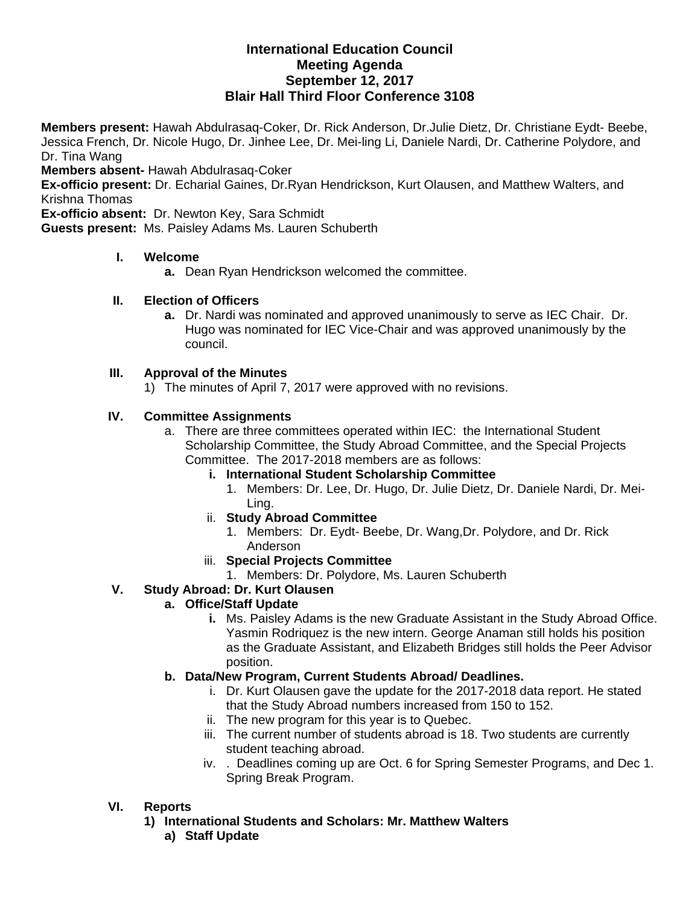# **International Education Council Meeting Agenda September 12, 2017 Blair Hall Third Floor Conference 3108**

**Members present:** Hawah Abdulrasaq-Coker, Dr. Rick Anderson, Dr.Julie Dietz, Dr. Christiane Eydt- Beebe, Jessica French, Dr. Nicole Hugo, Dr. Jinhee Lee, Dr. Mei-ling Li, Daniele Nardi, Dr. Catherine Polydore, and Dr. Tina Wang

**Members absent-** Hawah Abdulrasaq-Coker

**Ex-officio present:** Dr. Echarial Gaines, Dr.Ryan Hendrickson, Kurt Olausen, and Matthew Walters, and Krishna Thomas

**Ex-officio absent:** Dr. Newton Key, Sara Schmidt

**Guests present:** Ms. Paisley Adams Ms. Lauren Schuberth

#### **I. Welcome**

**a.** Dean Ryan Hendrickson welcomed the committee.

### **II. Election of Officers**

**a.** Dr. Nardi was nominated and approved unanimously to serve as IEC Chair. Dr. Hugo was nominated for IEC Vice-Chair and was approved unanimously by the council.

### **III. Approval of the Minutes**

1) The minutes of April 7, 2017 were approved with no revisions.

#### **IV. Committee Assignments**

- a. There are three committees operated within IEC: the International Student Scholarship Committee, the Study Abroad Committee, and the Special Projects Committee. The 2017-2018 members are as follows:
	- **i. International Student Scholarship Committee** 
		- 1. Members: Dr. Lee, Dr. Hugo, Dr. Julie Dietz, Dr. Daniele Nardi, Dr. Mei-Ling.
	- ii. **Study Abroad Committee**
		- 1. Members: Dr. Eydt- Beebe, Dr. Wang,Dr. Polydore, and Dr. Rick Anderson
	- iii. **Special Projects Committee**
		- 1. Members: Dr. Polydore, Ms. Lauren Schuberth

### **V. Study Abroad: Dr. Kurt Olausen**

### **a. Office/Staff Update**

**i.** Ms. Paisley Adams is the new Graduate Assistant in the Study Abroad Office. Yasmin Rodriquez is the new intern. George Anaman still holds his position as the Graduate Assistant, and Elizabeth Bridges still holds the Peer Advisor position.

### **b. Data/New Program, Current Students Abroad/ Deadlines.**

- i. Dr. Kurt Olausen gave the update for the 2017-2018 data report. He stated that the Study Abroad numbers increased from 150 to 152.
- ii. The new program for this year is to Quebec.
- iii. The current number of students abroad is 18. Two students are currently student teaching abroad.
- iv. . Deadlines coming up are Oct. 6 for Spring Semester Programs, and Dec 1. Spring Break Program.

### **VI. Reports**

- **1) International Students and Scholars: Mr. Matthew Walters** 
	- **a) Staff Update**